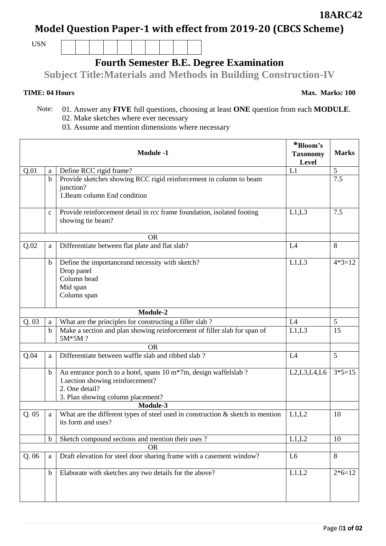## **Model Question Paper-1 with effect from 2019-20 (CBCS Scheme)**

USN

## **Fourth Semester B.E. Degree Examination**

**Subject Title:Materials and Methods in Building Construction-IV**

 Note: 01. Answer any **FIVE** full questions, choosing at least **ONE** question from each **MODULE**. 02. Make sketches where ever necessary

03. Assume and mention dimensions where necessary

|           |              | <b>Module -1</b>                                                                                        | *Bloom's<br><b>Taxonomy</b><br>Level | <b>Marks</b> |
|-----------|--------------|---------------------------------------------------------------------------------------------------------|--------------------------------------|--------------|
| Q.01      | a            | Define RCC rigid frame?                                                                                 | L1                                   | 5            |
|           | $\mathbf b$  | Provide sketches showing RCC rigid reinforcement in column to beam                                      |                                      | 7.5          |
|           |              | junction?                                                                                               |                                      |              |
|           |              | 1. Beam column End condition                                                                            |                                      |              |
|           | $\mathbf{C}$ | Provide reinforcement detail in rcc frame foundation, isolated footing                                  | L1,L3                                | 7.5          |
|           |              | showing tie beam?                                                                                       |                                      |              |
|           |              | <b>OR</b>                                                                                               |                                      |              |
| Q.02      | a            | Differentiate between flat plate and flat slab?                                                         | L4                                   | 8            |
|           | $\mathbf b$  | Define the importance and necessity with sketch?                                                        | L1,L3                                | $4*3=12$     |
|           |              | Drop panel                                                                                              |                                      |              |
|           |              | Column head                                                                                             |                                      |              |
|           |              | Mid span                                                                                                |                                      |              |
|           |              | Column span                                                                                             |                                      |              |
|           |              | Module-2                                                                                                |                                      |              |
| Q.03      | a            | What are the principles for constructing a filler slab ?                                                | L4                                   | 5            |
|           | $\mathbf b$  | Make a section and plan showing reinforcement of filler slab for span of<br>5M*5M?                      | L1,L3                                | 15           |
|           |              | <b>OR</b>                                                                                               |                                      |              |
| Q.04      | a            | Differentiate between waffle slab and ribbed slab?                                                      | L4                                   | 5            |
|           | b            | An entrance porch to a hotel, spans 10 m*7m, design waffelslab ?                                        | L2,L3,L4,L6                          | $3*5=15$     |
|           |              | 1.section showing reinforcement?                                                                        |                                      |              |
|           |              | 2. One detail?                                                                                          |                                      |              |
|           |              | 3. Plan showing column placement?                                                                       |                                      |              |
|           |              | Module-3                                                                                                |                                      |              |
| Q.05      | a            | What are the different types of steel used in construction $\&$ sketch to mention<br>its form and uses? | L1,L2                                | 10           |
|           | $\mathbf b$  | Sketch compound sections and mention their uses?                                                        | L1,L2                                | 10           |
| <b>OR</b> |              |                                                                                                         |                                      |              |
| Q.06      | a            | Draft elevation for steel door sharing frame with a casement window?                                    | L <sub>6</sub>                       | 8            |
|           | $\mathbf b$  | Elaborate with sketches any two details for the above?                                                  | L1.L2                                | $2*6=12$     |
|           |              |                                                                                                         |                                      |              |

**18ARC42**

**TIME: 04 Hours Max. Marks: 100**